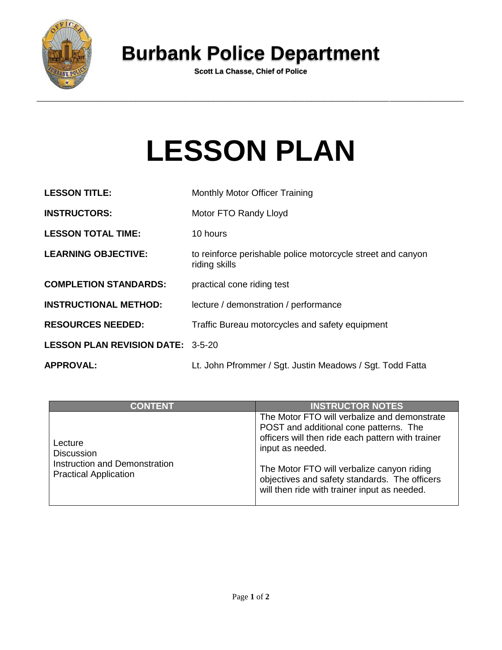

## **Burbank Police Department**

**Scott La Chasse, Chief of Police**

## **LESSON PLAN**

| <b>LESSON TITLE:</b>                     | <b>Monthly Motor Officer Training</b>                                        |  |
|------------------------------------------|------------------------------------------------------------------------------|--|
| <b>INSTRUCTORS:</b>                      | Motor FTO Randy Lloyd                                                        |  |
| <b>LESSON TOTAL TIME:</b>                | 10 hours                                                                     |  |
| <b>LEARNING OBJECTIVE:</b>               | to reinforce perishable police motorcycle street and canyon<br>riding skills |  |
| <b>COMPLETION STANDARDS:</b>             | practical cone riding test                                                   |  |
| <b>INSTRUCTIONAL METHOD:</b>             | lecture / demonstration / performance                                        |  |
| <b>RESOURCES NEEDED:</b>                 | Traffic Bureau motorcycles and safety equipment                              |  |
| <b>LESSON PLAN REVISION DATE: 3-5-20</b> |                                                                              |  |
| <b>APPROVAL:</b>                         | Lt. John Pfrommer / Sgt. Justin Meadows / Sgt. Todd Fatta                    |  |

| <b>CONTENT</b>                                                                                | <b>INSTRUCTOR NOTES</b>                                                                                                                                                                                                                                                                                        |
|-----------------------------------------------------------------------------------------------|----------------------------------------------------------------------------------------------------------------------------------------------------------------------------------------------------------------------------------------------------------------------------------------------------------------|
| Lecture<br><b>Discussion</b><br>Instruction and Demonstration<br><b>Practical Application</b> | The Motor FTO will verbalize and demonstrate<br>POST and additional cone patterns. The<br>officers will then ride each pattern with trainer<br>input as needed.<br>The Motor FTO will verbalize canyon riding<br>objectives and safety standards. The officers<br>will then ride with trainer input as needed. |